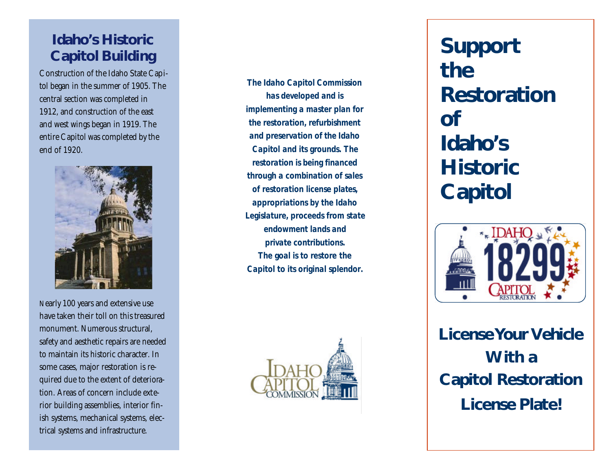## **Idaho's Historic Capitol Building**

Construction of the Idaho State Capitol began in the summer of 1905. The central section was completed in 1912, and construction of the east and west wings began in 1919. The entire Capitol was completed by the end of 1920.



Nearly 100 years and extensive use have taken their toll on this treasured monument. Numerous structural, safety and aesthetic repairs are needed to maintain its historic character. In some cases, major restoration is required due to the extent of deterioration. Areas of concern include exterior building assemblies, interior finish systems, mechanical systems, electrical systems and infrastructure.

*The Idaho Capitol Commission has developed and is implementing a master plan for the restoration, refurbishment and preservation of the Idaho Capitol and its grounds. The restoration is being financed through a combination of sales of restoration license plates, appropriations by the Idaho Legislature, proceeds from state endowment lands and private contributions. The goal is to restore the Capitol to its original splendor.* 



 **Support the Restoration of Idaho's Historic Capitol**



**License Your Vehicle With a Capitol Restoration License Plate!**